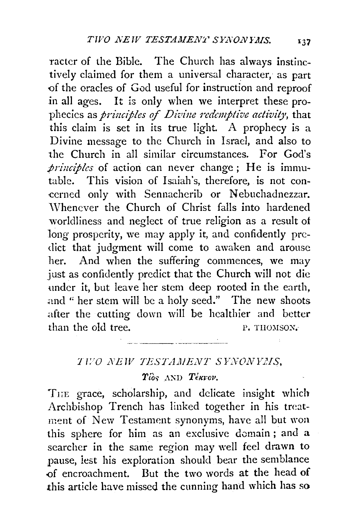racter of the Bible. The Church has always instinctively claimed for them a universal character, as part of the oracles of God useful for instruction and reproof in all ages. It is only when we interpret these prophecies as *principles of Divine redemptive activity*, that this claim is set in its true light. A prophecy is a Divine message to the Church in Israel, and also to the Church in all similar circumstances. For God's *principles* of action can never change; He is immutable. This vision of Isaiah's, therefore, is not concerned only with Sennacherib or Nebuchadnezzar. Whenever the Church of Christ falls into hardened worldliness and neglect of true religion as a result of long prosperity, we may apply it, and confidently predict that judgment will come to awaken and arouse her. And when the suffering commences, we may just as confidently predict that the Church will not die under it, but leave her stem deep rooted in the earth, and " her stem will be a holy seed." The new shoots after the cutting down will be healthier and better than the old tree. P. THOMSON.

## TIVO NEW TESTAMENT SYNONYMS.

de la communicación de la compo

## Tios AND Tekrov.

THE grace, scholarship, and delicate insight which Archbishop Trench has linked together in his treatment of New Testament synonyms, have all but won this sphere for him as an exclusive domain; and a searcher in the same region may well feel drawn to pause, lest his exploration should bear the semblance of encroachment. But the two words at the head of this article have missed the cunning hand which has so

137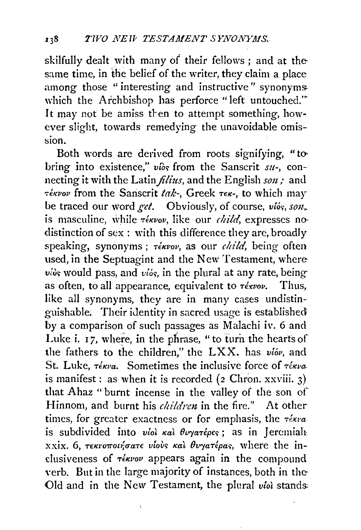skilfully dealt with many of their fellows ; and at the same time, in the belief of the writer, they claim a place among those "interesting and instructive" synonymswhich the Archbishop has perforce "left untouched."' It may not be amiss then to attempt something, however slight, towards remedying the unavoidable omisston.

Both words are derived from roots signifying, "tobring into existence," vios from the Sanscrit *su*-, connecting it with the Latin *filius,* and the English *sou,-* and  $\tau$ *ékvov* from the Sanscrit *tak*-, Greek  $\tau \epsilon \kappa$ -, to which may be traced our word get. Obviously, of course, vios, son, is masculine, while  $\tau \in K$ vov, like our *child*, expresses no distinction of sex : with this difference they are, broadly speaking, synonyms;  $\tau$ ékvov, as our *child*, being often used, in the Septuagint and the New Testament, where  $v_i$  would pass, and  $v_i$  is, in the plural at any rate, being as often, to all appearance, equivalent to  $\tau \epsilon x v \circ v$ . Thus, like all synonyms, they are in many cases undistinguishable. Their identity in sacred usage is established by a comparison of such passages as Malachi iv. 6 and Luke i. 17, where, in the phrase, " to turn the hearts of the fathers to the children," the LXX. has  $v i \delta v$ , and St. Luke,  $\tau \epsilon_{\kappa \nu \alpha}$ . Sometimes the inclusive force of  $\tau \epsilon_{\kappa \nu \alpha}$ . is manifest: as when it is recorded  $(z$  Chron. xxviii.  $3)$ that Ahaz " burnt incense in the valley of the son of Hinnom, and burnt his *children* in the fire." At other times, for greater exactness or for emphasis, the  $\tau$ éxva is subdivided into viol  $\kappa a$   $\theta$ vyarépes; as in Jeremiah  $x x i x$ . 6,  $\tau \epsilon \kappa \nu \sigma \tau \omega \gamma \sigma \sigma \tau \epsilon$  vious  $\kappa \alpha \nu$  due  $\sigma \sigma \gamma \sigma \tau \epsilon \rho \sigma \sigma$ , where the inclusiveness of  $\tau$ *ékvov* appears again in the compound verb. But in the large majority of instances, both in the ·Old and in the New Testament, the plural *viol* stands

 $\epsilon$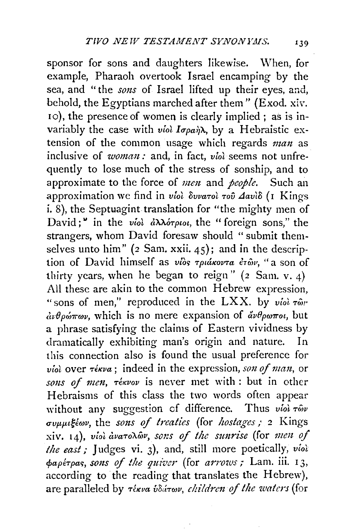sponsor for sons and daughters likewise. When, for example, Pharaoh overtook Israel encamping by the sea, and "the *sons* of Israel lifted up their eyes, and, behold, the Egyptians marched after them" {Exod. xiv. 10), the presence of women is clearly implied; as is invariably the case with *viol lapa1)X,* by a Hebraistic extension of the common usage which regards *man* as inclusive of *woman*: and, in fact, *viol* seems not unfrequently to lose much of the stress of sonship, and to approximate to the force of *men* and *people*. Such an approximation we find in *viol δυνατοl του Δανίδ* (1 Kings i. 8), the Septuagint translation for "the mighty men of David;" in the *viol aXXo-rptot,* the " foreign sons," the strangers, whom David foresaw should " submit themselves unto him" ( $2$  Sam. xxii.  $45$ ); and in the description of David himself as *vios τριάκοντα ετών*, "a son of thirty years, when he began to reign"  $(z \text{ Sam. v. 4})$ All these are akin to the common Hebrew expression, " sons of men," reproduced in the LXX. by  $v$ iol  $\tau \hat{\omega}$ "  $\partial_\mu \partial_\nu \phi \partial_\nu \phi$ , which is no mere expansion of  $\partial_\nu \partial_\nu \phi \partial_\nu$  but a phrase satisfying the claims of Eastern vividness by dramatically exhibiting man's origin and nature. In this connection also is found the usual preference for *viol* over  $\tau$ *ékva*; indeed in the expression, *son of man*, or *so11s of me1t, -reKvov* is never met with : but in other Hebraisms of this class the two words often appear without any suggestion of difference. Thus *viol*  $\tau \hat{\omega} v$  $\sigma$ *vµµlkiwv*, the *sons of treaties* (for *hostages*; 2 Kings xiv. 14), *vioi avaronov*, sons of the sunrise (for *men of the east;* Judges vi. 3), and, still more poetically, *viol*   $\phi$ *apérpas, sons of the quiver* (for *arrows*; Lam. iii. 13, according to the reading that translates the Hebrew), are paralleled by *-r€Kva uS,.l-rwv, c!ti!di'e1t* of *the waters* (for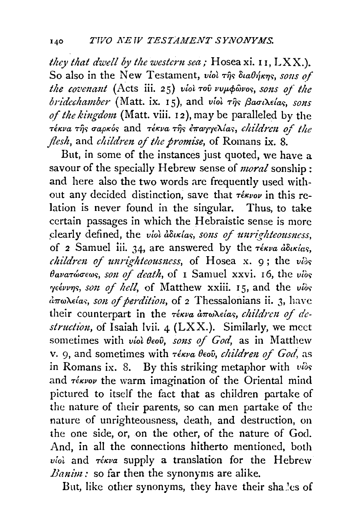they that dwell by the western sea; Hosea xi. 11,  $LXX$ .). So also in the New Testament, viol  $\tau$ *ns*  $\delta u$ a $\theta$ *nf*<sub>kns</sub>, sons of the covenant (Acts iii. 25) viol του νυμφώνος, sons of the bridechamber (Matt. ix. 15), and viol  $\tau$ *is*  $\beta$ aou $\lambda$ eias, sons of the kingdom (Matt. viii. 12), may be paralleled by the τέκνα της σαρκός and τέκνα της επαγγελίας, children of the flesh, and children of the promise, of Romans ix. 8.

But, in some of the instances just quoted, we have a savour of the specially Hebrew sense of *moral* sonship: and here also the two words are frequently used without any decided distinction, save that  $\tau \epsilon \kappa \nu o \nu$  in this relation is never found in the singular. Thus, to take certain passages in which the Hebraistic sense is more clearly defined, the viol aductas, sons of unrighteousness, of 2 Samuel iii. 34, are answered by the *rékva douxias*, children of unrighteousness, of Hosea x. 9; the vios θανατώσεως, son of death, of 1 Samuel xxvi. 16, the vios γεέννης, son of hell, of Matthew xxiii. 15, and the νίδς  $d\pi\omega\lambda e$  *(as, son of perdition, of 2 Thessalonians ii. 3, have* their counterpart in the τέκνα άπωλείας, children of destruction, of Isaiah lvii. 4 (LXX.). Similarly, we meet sometimes with viol beov, sons of God, as in Matthew v. 9, and sometimes with τέκνα θεού, children of God, as in Romans ix. 8. By this striking metaphor with vios and *rékvov* the warm imagination of the Oriental mind pictured to itself the fact that as children partake of the nature of their parents, so can men partake of the nature of unrighteousness, death, and destruction, on the one side, or, on the other, of the nature of God. And, in all the connections hitherto mentioned, both viol and rékva supply a translation for the Hebrew Banim: so far then the synonyms are alike.

But, like other synonyms, they have their shalles of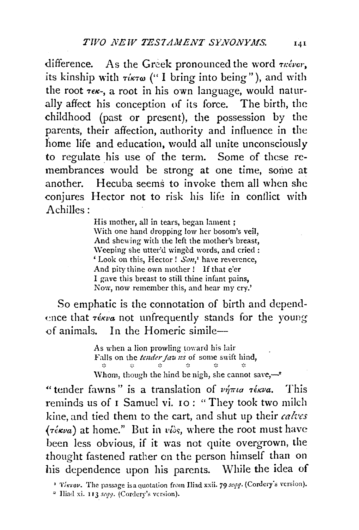difference. As the Greek pronounced the word  $\tau$  kéver, its kinship with  $\tau \text{ is a }$  ("I bring into being"), and with the root  $\tau \in \kappa$ -, a root in his own language, would naturally affect his conception of its force. The birth, the childhood (past or present), the possession by the parents, their affection, authority and influence in the home life and education, would all unite unconsciously to regulate his use of the term. Some of these remembrances would be strong at one time, some at another. Hecuba seems to invoke them all when she conjures Hector not to risk his life in conflict with  $A$ chilles:

> His mother, all in tears, began lament; With one hand dropping low her bosom's veil, And shewing with the left the mother's breast, Weeping she utter'd winged words, and cried : 'Look on this, Hector! Son,' have reverence, And pity thine own mother! If that e'er I gave this breast to still thine infant pains, Now, now remember this, and hear my cry.'

So emphatic is the connotation of birth and dependence that *résva* not unfrequently stands for the young of animals. In the Homeric simile-

> As when a lion prowling toward his lair Falls on the tender fau ns of some swift hind,  $\sim$ x.  $\mathcal{L}_{\mathcal{S}}$  $\mathcal{L}$ Whom, though the hind be nigh, she cannot save, $-2$

"tender fawns" is a translation of  $\nu \eta \pi \iota a \tau \epsilon \kappa \nu a$ . This reminds us of I Samuel vi. 10: "They took two milch kine, and tied them to the cart, and shut up their calves  $(\tau \in \mathcal{K} \nu a)$  at home." But in  $\nu \hat{\omega} s$ , where the root must have been less obvious, if it was not quite overgrown, the thought fastened rather on the person himself than on his dependence upon his parents. While the idea of

<sup>1</sup> Tékvov. The passage is a quotation from Iliad xxii. 79 seqq. (Cordery's version).

<sup>2</sup> Iliad xi. 113 seqq. (Cordery's version).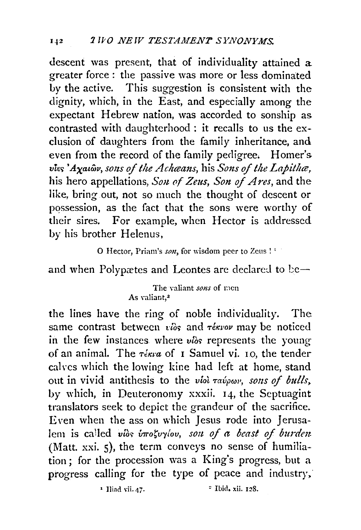descent was present, that of individuality attained a greater force : the passive was more or less dominated Ly the active. This suggestion is consistent with the dignity, which, in the East, and especially among the expectant Hebrew nation, was accorded to sonship as contrasted with daughterhood : it recalls to us the exclusion of daughters from the family inheritance, and even from the record of the family pedigree. Homer's vies 'Ayau<sub>w</sub>, sons of the Achaans, his Sons of the Lapitha, his hero appellations, *Son of Zeus, Son of Ares*, and the like, bring out, not so much the thought of descent or possession, as the fact that the sons were worthy of their sires. For example, when Hector is addressed by his brother Helenus,

0 Hector, Priam's *son,* for wisdom peer to Zcus ! '

and when Polypætes and Leontes are declared to be-

## The valiant *sons* of men As valiant.<sup>2</sup>

the lines have the ring of noble individuality. The same contrast between *vios* and *réxvov* may be noticed in the few instances where  $v$  *i*s represents the young of an animal. The  $\tau_{\text{extra}}$  of 1 Samuel vi. 10, the tender calves which the lowing kine had left at home, stand out in vivid antithesis to the *viol ravpwv*, sons of bulls, by which, in Deuteronomy xxxii. 14, the Septuagint translators seek to depict the grandeur of the sacrifice. Even when the ass on which Jesus rode into Jerusalem is called vios *inosvylov, son of a beast of burden* (Matt. xxi. 5), the term conveys no sense of humiliation; for the procession was a King's progress, but a progress calling for the type of peace and industry;

 $\overline{\phantom{a}}$  Iliad vii. 47.  $\overline{\phantom{a}}$  Ibid, xii. 128.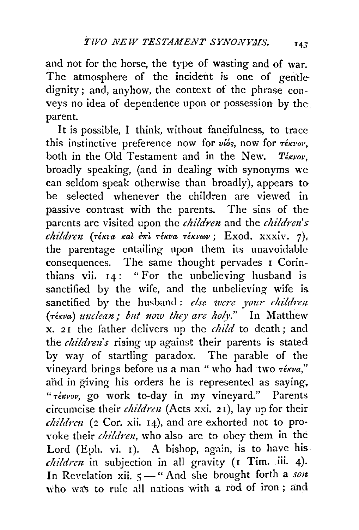and not for the horse, the type of wasting and of war. The atmosphere of the incident is one of gentle dignity; and, anyhow, the context of the phrase conveys no idea of dependence upon or possession by the parent.

It is possible, I think, without fancifulness, to trace this instinctive preference now for  $v\acute{\iota}\acute{\iota}s$ , now for  $\tau\acute{\iota}\kappa\nu o r$ , both in the Old Testament and in the New. Textov, broadly speaking, (and in dealing with synonyms we can seldom speak otherwise than broadly), appears to be selected whenever the children are viewed in passive contrast with the parents. The sins of the parents are visited upon the *children* and the *children's children.* (·r€Km *Kat* ewl. *·reKva -reKvrov;* Exod. xxxiv. 7). the parentage entailing upon them its unavoidable consequences. The same thought pervades 1 Corinthians vii.  $14:$  "For the unbelieving husband is sanctified by the wife, and the unbelieving wife is sanctified by the husband: else were your children *(rékva) unclean; but now they are holy.*" In Matthew x. 21 the father delivers up the *child* to death; and the *children's* rising up against their parents is stated by way of startling paradox. The parable of the vineyard brings before us a man " who had two  $\tau$ <sup>*i*</sup>wa," and in giving his orders he is represented as saying. *"-reKvov,* go work to-day in my vineyard." Parents circumcise their *children* (Acts xxi. 21), lay up for their *children* (2 Cor. xii. 14), and are exhorted not to provoke their *children*, who also are to obey them in the Lord (Eph. vi.  $\overline{I}$ ). A bishop, again, is to have his *children* in subjection in all gravity (1 Tim. iii. 4). In Revelation xii.  $5-$ " And she brought forth a son who was to rule all nations with a rod of iron ; and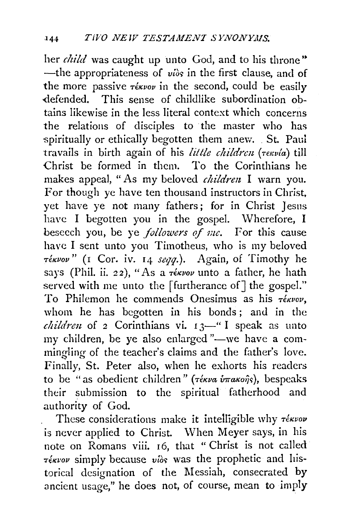her *child* was caught up unto God, and to his throne" -the appropriateness of vios in the first clause, and of the more passive  $\tau \notin K$ vov in the second, could be easily -defended. This sense of childlike subordination obtains likewise in the less literal context which concerns the relations of disciples to the master who has spiritually or ethically begotten them anew. St. Paul travails in birth again of his *little children* (Tekvia) till Christ be formed in them. To the Corinthians he makes appeal, "As my beloved *children* I warn you. For though ye have ten thousand instructors in Christ. vet have ye not many fathers; for in Christ Jesus have I begotten you in the gospel. Wherefore, I beseech you, be ye *followers* of *me.* For this cause have I sent unto you Timotheus, who is my beloved *T€Kvov"* (1 Cor. iv. 14 *seqq.).* Again, of Timothy he says (Phil. ii. 22), "As a  $\tau \epsilon \kappa \nu \nu \nu$  unto a father, he hath served with me unto the [furtherance of] the gospel." To Philemon he commends Onesimus as his  $\tau$ ékvov, whom he has begotten in his bonds ; and in the *children* of 2 Corinthians vi. 13-" I speak as unto my children, be ye also enlarged "-we have a commingling of the teacher's claims and the father's love. Finally, St. Peter also, when he exhorts his readers to be "as obedient children" (τέκνα ύπακοής), bespeaks their submission to the spiritual fatherhood and authority of God.

These considerations make it intelligible why  $\tau_{\text{env}}$ is never applied to Christ. When Meyer says, in his note on Romans viii. 16, that "Christ is not called  $\tau$ *ékvov* simply because viòs was the prophetic and historical designation of the Messiah, consecrated by ancient usage," he does not, of course, mean to imply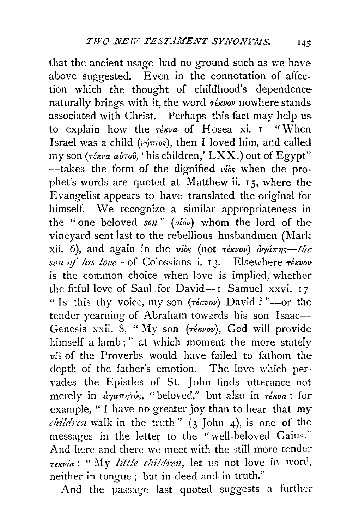that the ancient usage had no ground such as we have above suggested. Even in the connotation of affection which the thought of childhood's dependence naturally brings with it, the word  $\tau \notin \mathcal{X}$  nowhere stands associated with Christ. Perhaps this fact may help us to explain how the  $\tau \notin \mathcal{K} \cup \mathcal{K}$  of Hosea xi.  $I \rightarrow \mathcal{K}$  When Israel was a child ( $\nu\eta\pi\iota\sigma s$ ), then I loved him, and called iny son (τέκνα αὐτοῦ, 'his children,' LXX.) out of Egypt"  $-\text{takes}$  the form of the dignified vios when the prophet's words are quoted at Matthew ii. 15, where the Evangelist appears to have translated the original for himself. We recognize a similar appropriateness in the "one beloved son" (viov) whom the lord of the vineyard sent last to the rebellious husbandmen (Mark xii. 6), and again in the vios (not  $\tau \in \mathbb{R}$  and  $\tau \in \mathbb{R}$ son of his love-of Colossians i. 13. Elsewhere  $\tau$ ékvov is the common choice when love is implied, whether the fitful love of Saul for David-1 Samuel xxvi. 17 "Is this thy voice, my son ( $\tau \notin \mathcal{X}$ vov) David?"-or the tender yearning of Abraham towards his son Isaac-Genesis xxii. 8, "My son (Tékvov), God will provide himself a lamb;" at which moment the more stately  $\vec{u}$  of the Proverbs would have failed to fathom the depth of the father's emotion. The love which pervades the Epistles of St. John finds utterance not merely in  $\partial \gamma a \pi \eta \tau$ ós, "beloved," but also in  $\tau \epsilon \kappa \nu a$ : for example, "I have no greater joy than to hear that my *children* walk in the truth"  $(3 \text{ John } 4)$ , is one of the messages in the letter to the "well-beloved Gaius." And here and there we meet with the still more tender Tekvía: "My little children, let us not love in word, neither in tongue; but in deed and in truth."

And the passage last quoted suggests a further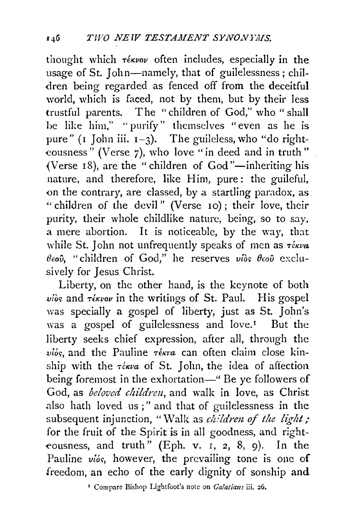thought which  $\tau_{\text{\'{e}k} \nu o\nu}$  often includes, especially in the usage of St. John-namely, that of guilelessness; children being regarded as fenced off from the deceitful world, which is faced, not by them, but by their less trustful parents. The " children of God," who " shall be like him," "purify" themselves "even as he is pure" ( $\iota$  John iii.  $\iota$  -3). The guileless, who "do right--eousness" (Verse 7), who love "in deed and in truth" (Verse  $18$ ), are the "children of God"—inheriting his nature, and therefore, like Him, pure: the guileful, on the contrary, are classed, by a startling paradox, as " children of the devil" (Verse 10); their love, their purity, their whole childlike nature, being, so to say, a mere abortion. It is noticeable, by the way, that while St. John not unfrequently speaks of men as  $\tau_{\text{\'{e}kva}}$  $\theta$ εού, "children of God," he reserves νίος θεού exclusively for Jesus Christ.

Liberty, on the other hand, is the keynote of both  $v$ iòs and  $\tau$ *ékvov* in the writings of St. Paul. His gospel was specially a gospel of liberty, just as St. John's was a gospel of guilelessness and love.<sup>1</sup> But the liberty seeks chief expression, after all, through the  $v\ddot{\theta}$ , and the Pauline  $\tau$ *ékra* can often claim close kinship with the  $\tau$ ékva of St. John, the idea of affection being foremost in the exhortation—" Be ye followers of God, as *beloved children*, and walk in love, as Christ also hath loved us;" and that of guilelessness in the subsequent injunction, "Walk as *children of the light;* for the fruit of the Spirit is in all goodness, and righteousness, and truth" (Eph. v. I, 2, 8, 9). In the Pauline vios, however, the prevailing tone is one of freedom, an echo of the early dignity of sonship and

' Compare Bishop Lightfoot's note on *Calatiaus* iii. 26.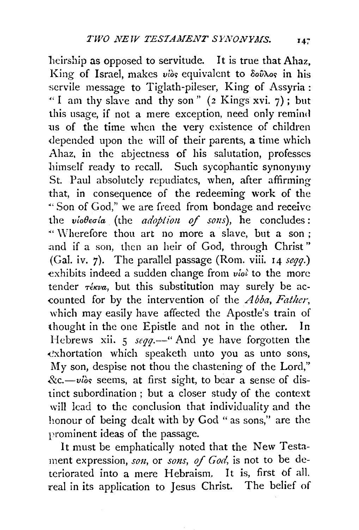heirship as opposed to servitude. It is true that Ahaz, King of Israel, makes vios equivalent to  $\delta$ ov $\lambda$ os in his servile message to Tiglath-pileser, King of Assyria : "I am thy slave and thy son" (2 Kings xvi. 7); but this usage, if not a mere exception, need only remind us of the time when the very existence of children <lepended upon the will of their parents, a time which Ahaz, in the abjectness of his salutation, professes himself ready to recall. Such sycophantic synonymy St. Paul absolutely repudiates, when, after affirming that, in consequence of the redeeming work of the ·" Son of God," we are freed from bondage and receive the *viobeoia* (the *adoption of sons*), he concludes: "' \Vherefore thou art no more a ·slave, but a son ; and if a son, then an heir of God, through Christ" (Gal. iv. 7). The parallel passage (Rom. viii. 14 *seqq.*) exhibits indeed a sudden change from *viol* to the more tender  $\tau_{\text{\'{e}kva}}$ , but this substitution may surely be ac--counted for by the intervention of the *A bba, Father,*  which may easily have affected the Apostle's train of thought in the one Epistle and not in the other. In Hebrews xii. 5 *seqq.*-" And ye have forgotten the ·e'xhortation which speaketh unto you as unto sons, My son, despise not thou the chastening of the Lord,"  $&c$ .-vios seems, at first sight, to bear a sense of distinct subordination ; but a closer study of the context will lead to the conclusion that individuality and the honour of being dealt with by God " as sons," are the rrominent ideas of the passage.

It must be emphatically noted that the New Testament expression, son, or sons, of God, is not to be deteriorated into a mere Hebraism. It is, first of all. real in its application to Jesus Christ. The belief of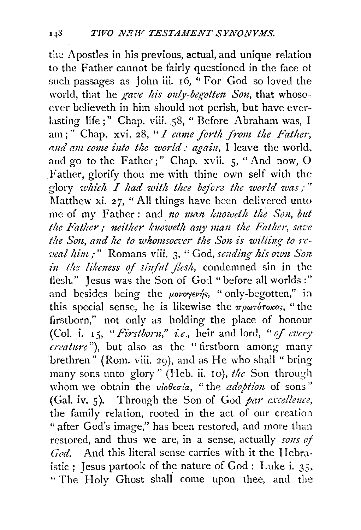the Apostles in his previous, actual, and unique relation to the Father cannot be fairly questioned in the face of such passages as John iii. 16, "For God so loved the world, that he gave his only-begotten Son, that whosoever believeth in him should not perish, but have everlasting life;" Chap. viii. 58, "Before Abraham was, I am;" Chap. xvi. 28, " I came forth from the Father, and am come into the world : again, I leave the world, and go to the Father;" Chap. xvii. 5, "And now, O Father, glorify thou me with thine own self with the glory which  $I$  had with the before the world was;" Matthew xi. 27, "All things have been delivered unto me of my Father: and no man knoweth the Son, but the Father; neither knoweth any man the Father, save the Son, and he to whomsoever the Son is willing to reveal him :" Romans viii. 3, "God, sending his own Son in the likeness of sinful flesh, condemned sin in the flesh." Jesus was the Son of God "before all worlds:" and besides being the *μονογενής*, "only-begotten," in this special sense, he is likewise the  $\pi \rho \omega \tau$  or  $\theta \gamma$ , "the firstborn," not only as holding the place of honour (Col. i. 15, "Firstborn," i.e., heir and lord, "of every creature"), but also as the "firstborn among many brethren" (Rom. viii. 29), and as He who shall " bring many sons unto glory" (Heb. ii. 10), the Son through whom we obtain the violeous, "the adoption of sons" (Gal. iv. 5). Through the Son of God par excellence, the family relation, rooted in the act of our creation " after God's image," has been restored, and more than restored, and thus we are, in a sense, actually sons of God. And this literal sense carries with it the Hebraistic : Jesus partook of the nature of God : Luke i.  $35$ . "The Holy Ghost shall come upon thee, and the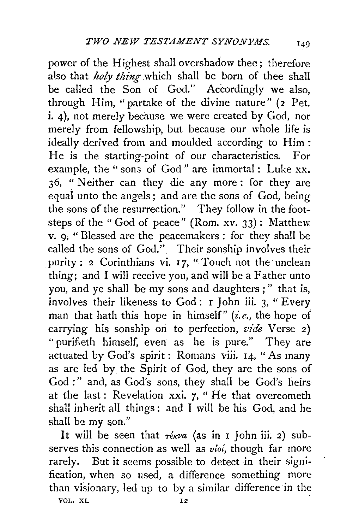power of the Highest shall overshadow thee; therefore also that *holy thing* which shall be born of thee shall be called the Son of God." Accordingly we also, through Him, "partake of the divine nature"  $(z$  Pet. i. 4), not merely because we were created by God, nor merely from fellowship, but because our whole life is ideally derived from and moulded according to Him : He is the starting-point of our characteristics. For example, the " sons of God" are immortal : Luke xx. 36, " Neither can they die any more : for they are equai unto the angels ; and are the sons of God, being the sons of the resurrection." They follow in the footsteps of the "God of peace" (Rom. xv. 33): Matthew v. g, " Blessed are the peacemakers : for they shall he called the sons of God." Their sonship involves their purity : 2 Corinthians vi. 17, "Touch not the unclean thing; and I will receive you, and will be a Father unto you, and ye shall be my sons and daughters ; " that is, involves their likeness to God: r John iii. 3, "Every man that hath this hope in himself" *(i.e.,* the hope of carrying his sonship on to perfection, *vide* Verse 2) "purifieth himself, even as he is pure." They are actuated by God's spirit: Romans viii.  $I_4$ , "As many as are led by the Spirit of God, they are the sons of God:" and, as God's sons, they shall be God's heirs at the last: Revelation xxi. 7, " He that overcometh shall inherit all things : and I will be his God, and he shall be my son."

It will be seen that  $\tau \in \mathcal{W}$  (as in I John iii. 2) subserves this connection as well as *vioi,* though far more rarely. But it seems possible *to* detect in their signification, when so used, a difference something more than visionary, led up *to* by a similar difference in the VOL. XI. 12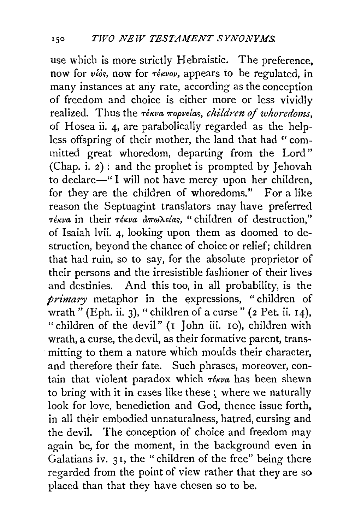use which is more strictly Hebraistic. The preference. now for *vios*, now for  $\tau \notin \mathcal{X}$  appears to be regulated, in many instances at any rate, according as the conception of freedom and choice is either more or less vividly realized. Thus the *Tekva mopvelas, children of whoredoms*, of Hosea ii. 4, are parabolically regarded as the helpless offspring of their mother, the land that had " committed great whoredom, departing from the Lord'' (Chap. i. 2): and the prophet is prompted by Jehovah to declare-" I will not have mercy upon her children, for they are the children of whoredoms." For a like reason the Septuagint translators may have preferred *Téκva* in their *Téκva απωλείας*, " children of destruction," of Isaiah lvii. 4, looking upon them as doomed to destruction, beyond the chance of choice or relief; children that had ruin, so to say, for the absolute proprietor of their persons and the irresistible fashioner of their lives and destinies. And this too, in all probability, is the *primary* metaphor in the expressions, " children of wrath" (Eph. ii. 3), "children of a curse" (2 Pet. ii. 14), "children of the devil" (I John iii. 10), children with wrath, a curse, the devil, as their formative parent, transmitting to them a nature which moulds their character, and therefore their fate. Such phrases, moreover, contain that violent paradox which  $\tau_{\text{\'{e}kva}}$  has been shewn to bring with it in cases like these : where we naturally look for love, benediction and God, thence issue forth, in all their embodied unnaturalness, hatred, cursing and the devil. The conception of choice and freedom may again be, for the moment, in the background even in Galatians iv. 31, the "children of the free" being there regarded from the point of view rather that they are so placed than that they have chosen so to be.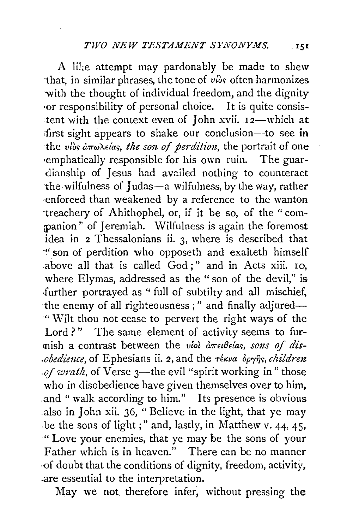A like attempt may pardonably be made to shew that, in similar phrases, the tone of vios often harmonizes with the thought of individual freedom, and the dignity or responsibility of personal choice. It is quite consistent with the context even of John xvii. 12-which at first sight appears to shake our conclusion-to see in the vios  $\hat{a}\pi\omega\lambda\epsilon\hat{a}s$ , the son of perdition, the portrait of one emphatically responsible for his own ruin. The guardianship of Jesus had availed nothing to counteract the wilfulness of Judas-a wilfulness, by the way, rather enforced than weakened by a reference to the wanton treachery of Ahithophel, or, if it be so, of the "companion" of Jeremiah. Wilfulness is again the foremost idea in 2 Thessalonians ii. 3, where is described that " son of perdition who opposeth and exalteth himself above all that is called God;" and in Acts xiii. 10, where Elymas, addressed as the "son of the devil," is further portrayed as "full of subtilty and all mischief, the enemy of all righteousness;" and finally adjured-"Wilt thou not cease to pervert the right ways of the Lord?" The same element of activity seems to furmish a contrast between the viol arrectedas, sons of dis*obedience*, of Ephesians ii. 2, and the rékva opyns, children of wrath, of Verse 3—the evil "spirit working in" those who in disobedience have given themselves over to him, and "walk according to him." Its presence is obvious also in John xii. 36, "Believe in the light, that ye may be the sons of light;" and, lastly, in Matthew v. 44, 45, " Love your enemies, that ye may be the sons of your Father which is in heaven." There can be no manner of doubt that the conditions of dignity, freedom, activity, are essential to the interpretation.

May we not therefore infer, without pressing the

 $.151$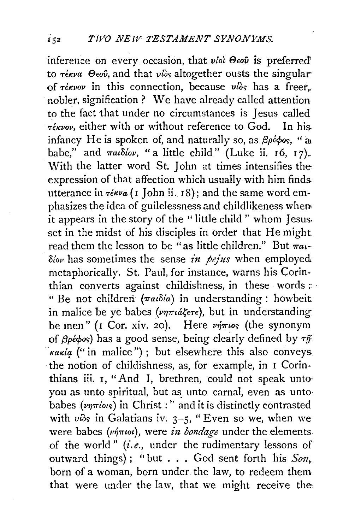inference on every occasion, that *viol Beov* is preferred' to  $\tau \epsilon \kappa \nu a$   $\Theta$ *eo* $\hat{v}$ , and that  $\nu \hat{i}$  altogether ousts the singular of  $\tau \notin \mathcal{K}$ *vov* in this connection, because *vios* has a freer. nobler, signification ? We have already called attention to the fact that under no circumstances is Jesus called *rékvov*, either with or without reference to God. In his. infancy He is spoken of, and naturally so, as  $\beta \rho \epsilon \phi$ os, "at babe," and  $\pi a\delta$ *lov*, "a little child" (Luke ii. 16, 17). With the latter word St. John at times intensifies the expression of that affection which usually with him finds. utterance in  $\tau \in \mathcal{W}$  (I John ii. 18); and the same word emphasizes the idea of guilelessness and childlikeness when• it appears in the story of the " little child " whom Jesus. set in the midst of his disciples in order that He might read them the lesson to be "as little children." But  $\pi a_i$ -*Stov* has sometimes the sense *in pejus* when employed. metaphorically. St. Paul, for instance, warns his Corinthian converts against childishness, in these words :  $\cdot$ " Be not children *(7ratoia)* in understanding: howbeit in malice be ye babes  $(\nu \eta \pi \mu \Delta \xi \epsilon \tau \epsilon)$ , but in understanding be men" (I Cor. xiv. 20). Here  $\nu \eta \pi \omega s$  (the synonym of  $\beta$ pé $\phi$ os) has a good sense, being clearly defined by  $\tau \hat{y}$ . *Kakia* ("in malice"); but elsewhere this also conveys, the notion of childishness, as, for example, in I Corinthians iii. I, "And I, brethren, could not speak unto you as unto spiritual, but as unto carnal, even as unto babes ( $\nu\eta\pi\omega s$ ) in Christ : " and it is distinctly contrasted with vios in Galatians iv.  $3-5$ , "Even so we, when wewere babes ( $\nu\eta\pi\omega$ ), were *in bondage* under the elements. of the world" *(i.e.,* under the rudimentary lessons of outward things); "but . . . God sent forth his *Son*, born of a woman, born under the law, to redeem them that were under the law, that we might receive the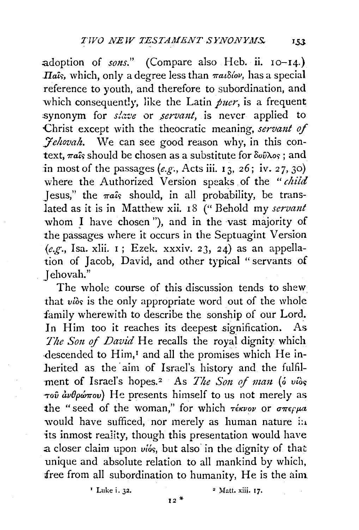adoption of *sons.*" (Compare also Heb. ii. 10-14.) *Ha*is, which, only a degree less than  $\pi a_l \delta \omega$ , has a special reference to youth, and therefore to subordination, and which consequently, like the Latin *puer,* is a frequent synonym for *slave* or *servant*, is never applied to Christ except with the theocratic meaning, servant of *fehovah*. We can see good reason why, in this context,  $\pi a$ *is* should be chosen as a substitute for  $\delta \omega \lambda$ os : and :in most of the passages *(e.g-.,* Acts iii. 13, *26;* iv. *27,* 30) where the Authorized Version speaks of the "child Jesus," the  $\pi a\hat{i}s$  should, in all probability, be translated as it is in Matthew xii. 18 ("Behold my *servant* whom *I* have chosen"), and in the vast majority of the passages where it occurs in the Septuagint Version *(e.g.,* Isa. xlii. I ; Ezek. xxxiv. *23,* 24) as an appellation of Jacob, David, and other typical " servants of . Jehovah."

The whole course of this discussion tends to shew that  $v_i$  is the only appropriate word out of the whole family wherewith to describe the sonship of our Lord. In Him too it reaches its deepest signification. As *The Son of David* He recalls the royal dignity which descended to Him,<sup>1</sup> and all the promises which He inherited as the aim of Israel's history and the fulfilment of Israel's hopes.<sup>2</sup> As *The Son of man* (o vios  $\tau$ ov  $\hat{a}\nu\theta\rho\omega\pi\omega$ ) He presents himself to us not merely as the "seed of the woman," for which  $\tau$ έκνον or σπερμα would have sufficed, nor merely as human nature in its inmost reality, though this presentation would have a closer claim upon *viós*, but also in the dignity of that unique and absolute relation to all mankind by which, *iree* from all subordination to humanity, He is the aim.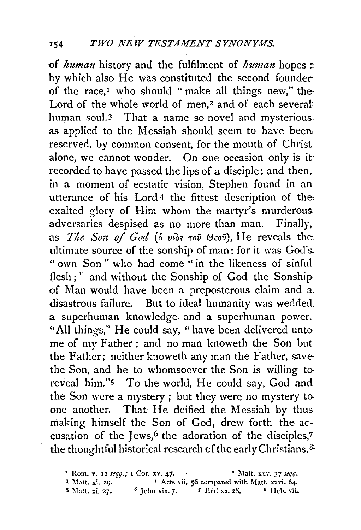of *human* history and the fulfilment of *human* hopes: by which also He was constituted the second founder of the race,<sup> $I$ </sup> who should "make all things new," the Lord of the whole world of men. $2$  and of each several human soul.3 That a name so novel and mysterious. as applied to the Messiah should seem to have been. reserved, by common consent, for the mouth of Christ alone, we cannot wonder. On one occasion only is it: recorded to have passed the lips of a disciple: and then, in a moment of ecstatic vision, Stephen found in an utterance of his Lord 4 the fittest description of the: exalted glory of Him whom the martyr's murderous. adversaries despised as no more than man. Finally, as *The Son of God* (*o vios too*  $\Theta$ *cov*), He reveals the ultimate source of the sonship of man; for it was God's. " own Son " who had come " in the likeness of sinful flesh;" and without the Sonship of God the Sonship of Man would have been a preposterous claim and a. disastrous failure. But to ideal humanity was wedded a superhuman knowledge. and a superhuman power. "All things," He could say, " have been delivered untome of my Father; and no man knoweth the Son but: the Father; neither knoweth any man the Father, save the Son, and he to whomsoever the Son is willing to reveal him.''5 To the world, He could say, God and the Son were a mystery ; but they were no mystery to. one another. That He deified the Messiah by thus. making himself the Son of God, drew forth the accusation of the Jews,<sup>6</sup> the adoration of the disciples,7 the thoughtful historical research of the early Christians.<sup>&</sup>

 $1$  Rom. v. 12  $seqq$ .; I Cor. xv. 47.  $2^{1}$  Matt. xxv. 37  $seqq$ . <sup>3</sup> Matt. xi. 29.  $\overline{1}$  4 Acts vii. 56 compared with Matt. xxvi. 64.

 $$$  Matt. xi. 27. 6 John xix. 7. 7 Ibid xx. 28. 8 Heb. vii.